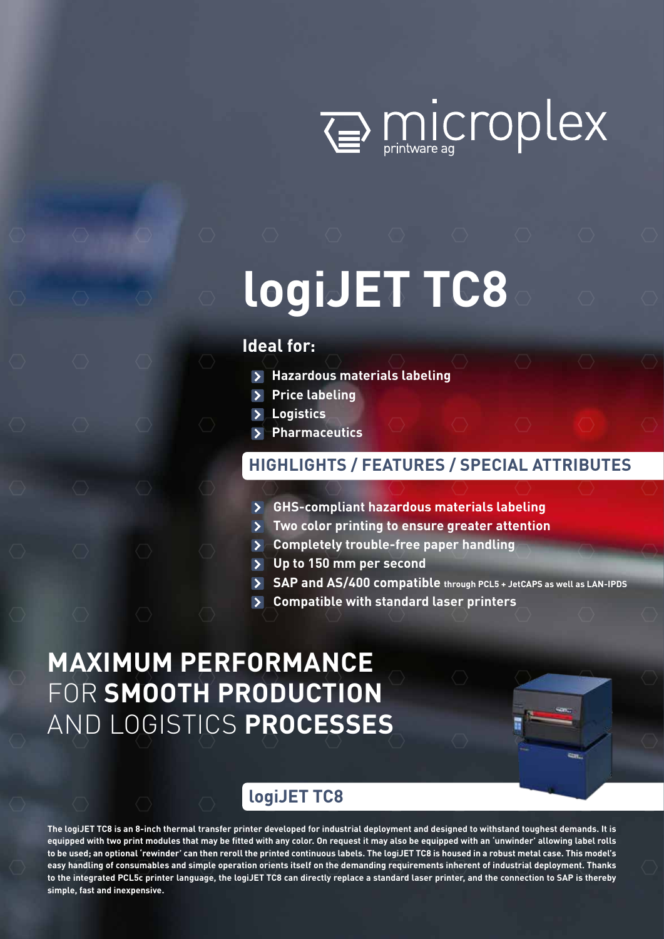

# **logiJET TC8**

### **Ideal for:**

- **Hazardous materials labeling**
- **Price labeling**
- **Logistics**
- **Pharmaceutics**

### **HIGHLIGHTS / FEATURES / SPECIAL ATTRIBUTES**

- **GHS-compliant hazardous materials labeling**
- **Two color printing to ensure greater attention**
- **Completely trouble-free paper handling**
- **Up to 150 mm per second**
- **SAP and AS/400 compatible through PCL5 + JetCAPS as well as LAN-IPDS**
- **Compatible with standard laser printers**

## **MAXIMUM PERFORMANCE**  FOR **SMOOTH PRODUCTION**  AND LOGISTICS **PROCESSES**

### **logiJET TC8**

**The logiJET TC8 is an 8-inch thermal transfer printer developed for industrial deployment and designed to withstand toughest demands. It is equipped with two print modules that may be fitted with any color. On request it may also be equipped with an 'unwinder' allowing label rolls to be used; an optional 'rewinder' can then reroll the printed continuous labels. The logiJET TC8 is housed in a robust metal case. This model's easy handling of consumables and simple operation orients itself on the demanding requirements inherent of industrial deployment. Thanks to the integrated PCL5c printer language, the logiJET TC8 can directly replace a standard laser printer, and the connection to SAP is thereby simple, fast and inexpensive.**